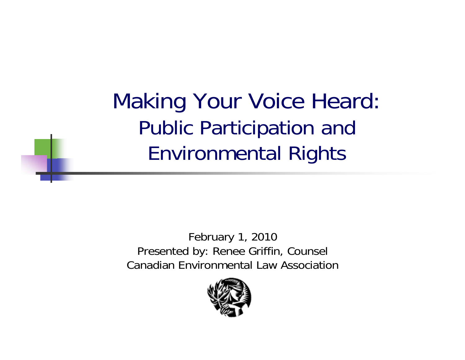Making Your Voice Heard: Public Participation and Environmental Rights

February 1, 2010 Presented by: Renee Griffin, Counsel Canadian Environmental Law Association

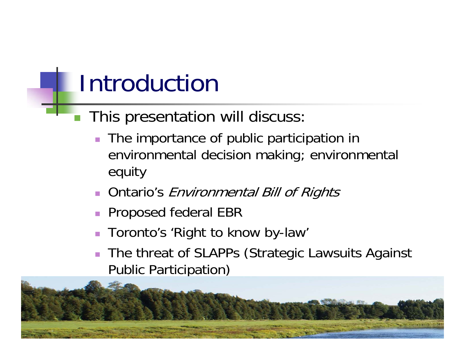### Introduction

### **This presentation will discuss:**

- The importance of public participation in environmental decision making; environmental equity
- **Ontario's Environmental Bill of Rights**
- **Proposed federal EBR**
- F Toronto's 'Right to know by-law'
- The threat of SLAPPs (Strategic Lawsuits Against Public Participation)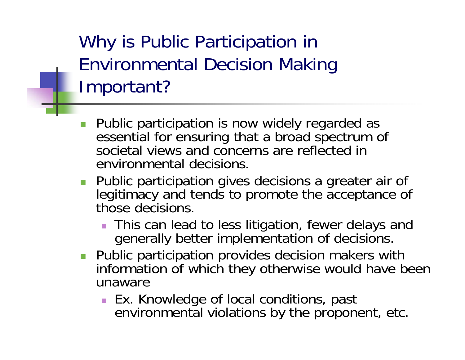Why is Public Participation in Environmental Decision Making Important?

- Г Public participation is now widely regarded as essential for ensuring that a broad spectrum of societal views and concerns are reflected in environmental decisions.
- **Public participation gives decisions a greater air of** legitimacy and tends to promote the acceptance of those decisions.
	- **This can lead to less litigation, fewer delays and** generally better implementation of decisions.
- **Public participation provides decision makers with** information of which they otherwise would have been unaware
	- Ex. Knowledge of local conditions, past environmental violations by the proponent, etc.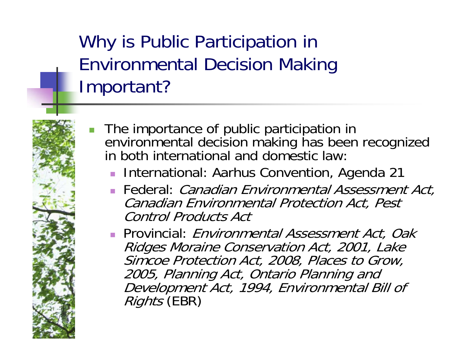Why is Public Participation in Environmental Decision Making Important?

- П The importance of public participation in environmental decision making has been recognized in both international and domestic law:
	- **International: Aarhus Convention, Agenda 21**
	- **Federal:** *Canadian Environmental Assessment Act***,** Canadian Environmental Protection Act, Pest Control Products Act
	- **Provincial**: *Environmental Assessment Act, Oak* Ridges Moraine Conservation Act, 2001, Lake Simcoe Protection Act, 2008, Places to Grow, 2005, Planning Act, Ontario Planning and Development Act, 1994, Environmental Bill of Rights (EBR)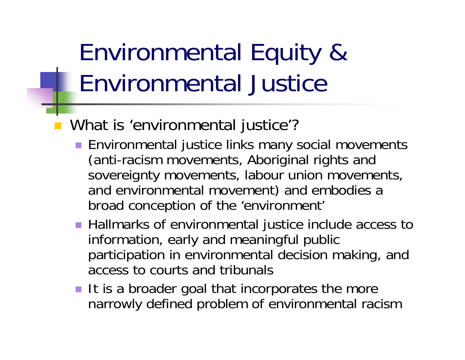## Environmental Equity & Environmental Justice

- What is 'environmental justice'?
	- Environmental justice links many social movements (anti-racism movements, Aboriginal rights and sovereignty movements, labour union movements, and environmental movement) and embodies a broad conception of the 'environment'
	- Hallmarks of environmental justice include access to information, early and meaningful public participation in environmental decision making, and access to courts and tribunals
	- $\blacksquare$  It is a broader goal that incorporates the more narrowly defined problem of environmental racism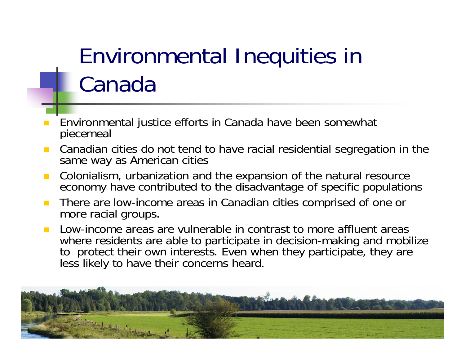### Environmental Inequities in Canada

- Environmental justice efforts in Canada have been somewhat piecemeal
- Canadian cities do not tend to have racial residential segregation in the same way as American cities
- $\mathbf{r}$  Colonialism, urbanization and the expansion of the natural resource economy have contributed to the disadvantage of specific populations
- There are low-income areas in Canadian cities comprised of one or more racial groups.
- Low-income areas are vulnerable in contrast to more affluent areas where residents are able to participate in decision-making and mobilize to protect their own interests. Even when they participate, they are less likely to have their concerns heard.

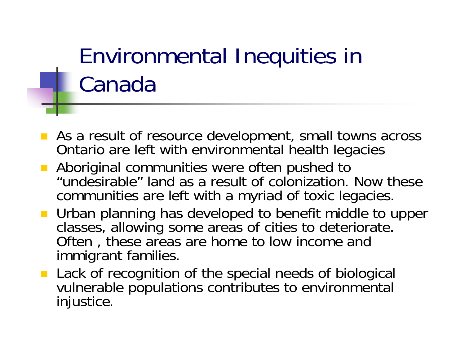### Environmental Inequities in Canada

- **As a result of resource development, small towns across** Ontario are left with environmental health legacies
- **Aboriginal communities were often pushed to** "undesirable" land as a result of colonization. Now these communities are left with a myriad of toxic legacies.
- **Urban planning has developed to benefit middle to upper** classes, allowing some areas of cities to deteriorate. Often, these areas are home to low income and immigrant families.
- **Lack of recognition of the special needs of biological** vulnerable populations contributes to environmental injustice.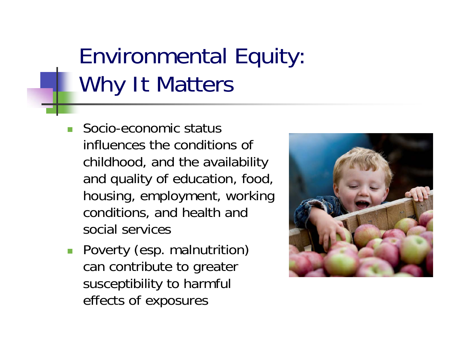### Environmental Equity: Why It Matters

- П Socio-economic status influences the conditions of childhood, and the availability and quality of education, food, housing, employment, working conditions, and health and social services
- **Poverty (esp. malnutrition)** can contribute to greater susceptibility to harmful effects of exposures

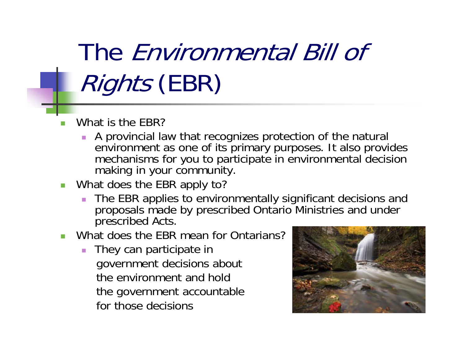## The Environmental Bill of Rights (EBR)

### What is the EBR?

- $\mathcal{L}_{\mathcal{A}}$  A provincial law that recognizes protection of the natural environment as one of its primary purposes. It also provides mechanisms for you to participate in environmental decision making in your community.
- What does the EBR apply to?
	- $\mathbf{r}$ **The EBR applies to environmentally significant decisions and** proposals made by prescribed Ontario Ministries and under prescribed Acts.
- **Number 1** What does the EBR mean for Ontarians?
	- $\mathcal{L}_{\mathcal{A}}$  They can participate in government decisions about the environment and hold the government accountable for those decisions

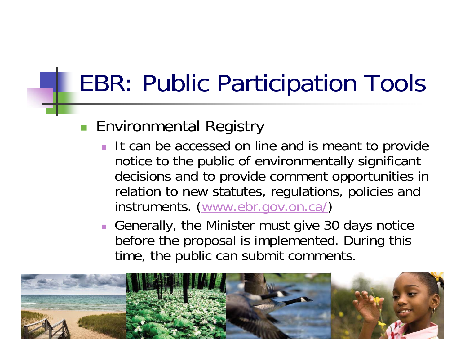### EBR: Public Participation Tools

### **Environmental Registry**

- It can be accessed on line and is meant to provide notice to the public of environmentally significant decisions and to provide comment opportunities in relation to new statutes, regulations, policies and instruments. [\(www.ebr.gov.on.ca/](http://www.ebr.gov.on.ca/))
- Generally, the Minister must give 30 days notice before the proposal is implemented. During this time, the public can submit comments.

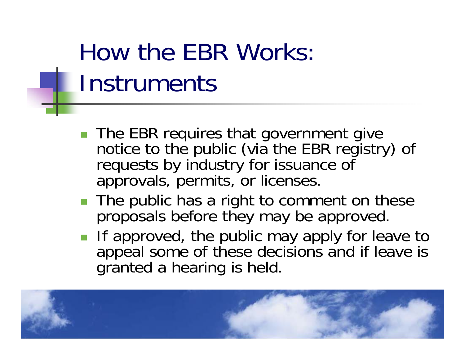## How the EBR Works: **Instruments**

- The EBR requires that government give<br>notice to the public (via the EBR registry) of requests by industry for issuance of approvals, permits, or licenses.
- The public has a right to comment on these proposals before they may be approved.
- **If approved, the public may apply for leave to** appeal some of these decisions and if leave is granted a hearing is held.

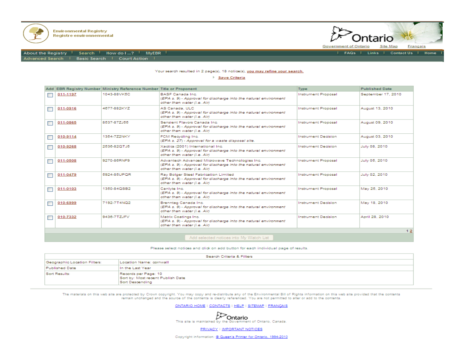



| FAQs | Links | Contact Us | Home

**Government of Ontario** Français **Site Map** 

About the Registry Search How do I ...? MyEBR Advanced Search | Basic Search | Court Action |

### Your search resulted in 2 page(s), 18 notice(s), you may refine your search.

| Save Criteria |                                                                           |                                                                      |                                                                                                                                                   |                            |                       |  |  |  |  |  |  |
|---------------|---------------------------------------------------------------------------|----------------------------------------------------------------------|---------------------------------------------------------------------------------------------------------------------------------------------------|----------------------------|-----------------------|--|--|--|--|--|--|
|               |                                                                           | Add EBR Registry Number Ministry Reference Number Title or Proponent |                                                                                                                                                   | <b>Type</b>                | <b>Published Date</b> |  |  |  |  |  |  |
|               | 011-1197                                                                  | 1043-88VK5C                                                          | <b>BASE Canada Inc.</b><br>(EPA s. 9) - Approval for discharge into the natural environment<br>other than water (i.e. Air)                        | <b>Instrument Proposal</b> | September 17, 2010    |  |  |  |  |  |  |
|               | 011-0916                                                                  | 4677-882KYZ                                                          | AS Canada, ULC<br>(EPA s. 9) - Approval for discharge into the natural environment<br>other than water (i.e. Air)                                 | Instrument Proposal        | August 13, 2010       |  |  |  |  |  |  |
|               | 011-0865                                                                  | 8537-87ZJ55                                                          | Sensient Flavors Canada Inc.<br>(EPA s. 9) - Approval for discharge into the natural environment<br>other than water (i.e. Air)                   | <b>Instrument Proposal</b> | August 09, 2010       |  |  |  |  |  |  |
|               | 010-9114                                                                  | 1354-7Z2NKY                                                          | FCM Recycling Inc.<br>(EPA s. 27) - Approval for a waste disposal site.                                                                           | <b>Instrument Decision</b> | August 03, 2010       |  |  |  |  |  |  |
|               | 010-9268                                                                  | 2536-82QTJ5                                                          | Xactics (2001) International Inc.<br>(EPA s. 9) - Approval for discharge into the natural environment<br>other than water (i.e. Air)              | <b>Instrument Decision</b> | July 08, 2010         |  |  |  |  |  |  |
|               | 011-0508                                                                  | 9270-86RNF9                                                          | Advantech Advanced Microwave Technologies Inc.<br>(EPA s. 9) - Approval for discharge into the natural environment<br>other than water (i.e. Air) | <b>Instrument Proposal</b> | July 05, 2010         |  |  |  |  |  |  |
|               | 011-0479                                                                  | 5924-85UPOR                                                          | Ray Bolger Steel Fabrication Limited<br>(EPA s. 9) - Approval for discharge into the natural environment<br>other than water (i.e. Air)           | <b>Instrument Proposal</b> | July 02, 2010         |  |  |  |  |  |  |
|               | 011-0103                                                                  | 1350-84QSB2                                                          | Canlyte Inc.<br>(EPA s. 9) - Approval for discharge into the natural environment<br>other than water (i.e. Air)                                   | <b>Instrument Proposal</b> | May 25, 2010          |  |  |  |  |  |  |
|               | 010-6999                                                                  | 7192-7T4NQ2                                                          | Brenntag Canada Inc.<br>(EPA s. 9) - Approval for discharge into the natural environment<br>other than water (i.e. Air)                           | <b>Instrument Decision</b> | May 18, 2010          |  |  |  |  |  |  |
|               | 010-7332                                                                  | 9436-7TZJFV                                                          | Matrix Coatinos Inc.<br>(EPA s. 9) - Approval for discharge into the natural environment<br>other than water (i.e. Air)                           | <b>Instrument Decision</b> | April 28, 2010        |  |  |  |  |  |  |
|               | 12                                                                        |                                                                      |                                                                                                                                                   |                            |                       |  |  |  |  |  |  |
|               | And all continuous and constitutions that in AA is AA function to the an- |                                                                      |                                                                                                                                                   |                            |                       |  |  |  |  |  |  |

### Add selected notices into My Watch List

### Please select notices and click on add button for each individual page of results.

| Search Criteria & Filters    |                                                                              |  |  |  |  |  |
|------------------------------|------------------------------------------------------------------------------|--|--|--|--|--|
| Geographic Location Filters: | Location Name: cornwall                                                      |  |  |  |  |  |
| Published Date               | In the Last Year                                                             |  |  |  |  |  |
| Sort Results:                | Records per Page: 10<br>Sort by: Most recent Publish Date<br>Sort Descending |  |  |  |  |  |

The materials on this web site are protected by Crown copyright. You may copy and re-distribute any of the Environmental Bill of Rights information on this web site provided that the contents remain unchanged and the source of the contents is clearly referenced. You are not permitted to alter or add to the contents.

ONTARIO HOME | CONTACTS | HELP | SITEMAP | FRANÇAIS



**PRIVACY | IMPORTANT NOTICES** 

Copyright information: @ Queen's Printer for Ontario, 1994-2010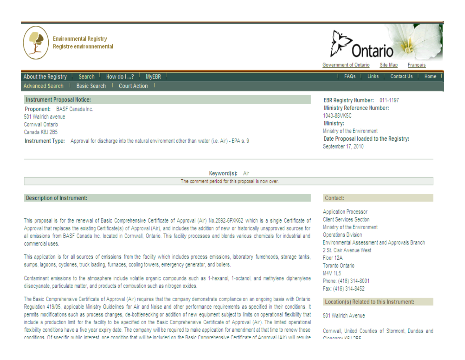

**About the Registry** 

501 Wallrich avenue

Cornwall Ontario

Canada K6J 2B5

Advanced Search |

Instrument Proposal Notice:

Proponent: BASF Canada Inc.

Search

How do I ...? MyEBR

Instrument Type: Approval for discharge into the natural environment other than water (i.e. Air) - EPA s. 9

Basic Search | Court Action |

|                              |                                  | Ontario |  |          |          |  |
|------------------------------|----------------------------------|---------|--|----------|----------|--|
| <b>Government of Ontario</b> |                                  |         |  | Site Map | Français |  |
|                              | FAQs   Links   Contact Us   Home |         |  |          |          |  |

EBR Registry Number: 011-1197 Ministry Reference Number: 1043-88VK5C Ministry: Ministry of the Environment Date Proposal loaded to the Registry: September 17, 2010

### Keyword(s): Air

The comment period for this proposal is now over.

### Description of Instrument:

This proposal is for the renewal of Basic Comprehensive Certificate of Approval (Air) No.2592-6PXK62 which is a single Certificate of Approval that replaces the existing Certificate(s) of Approval (Air), and includes the addition of new or historically unapproved sources for all emissions from BASF Canada Inc. located in Cornwall, Ontario. This facility processes and blends various chemicals for industrial and commercial uses.

This application is for all sources of emissions from the facility which includes process emissions, laboratory fumehoods, storage tanks, sumps, lagoons, cyclones, truck loading, furnaces, cooling towers, emergency generator, and boilers.

Contaminant emissions to the atmosphere include volatile organic compounds such as 1-hexanol, 1-octanol, and methylene diphenylene diisocyanate, particulate matter, and products of combustion such as nitrogen oxides.

The Basic Comprehensive Certificate of Approval (Air) requires that the company demonstrate compliance on an ongoing basis with Ontario Regulation 419/05, applicable Ministry Guidelines for Air and Noise and other performance requirements as specified in their conditions. It permits modifications such as process changes, de-bottlenecking or addition of new equipment subject to limits on operational flexibility that include a production limit for the facility to be specified on the Basic Comprehensive Certificate of Approval (Air). The limited operational flexibility conditions have a five year expiry date. The company will be required to make application for amendment at that time to renew these conditions. Of specific sublic interest, and condition that will be included on the Regis Comprehensive Certificate of Approval (Air) will require

### Contact:

Application Processor Client Services Section Ministry of the Environment Operations Division Environmental Assessment and Approvals Branch 2 St. Clair Avenue West Floor 12A Toronto Ontario M4V 1L5 Phone: (416) 314-8001 Fax: (416) 314-8452

### Location(s) Related to this Instrument:

501 Wallrich Avenue

Cornwall, United Counties of Stormont, Dundas and **LAND AND**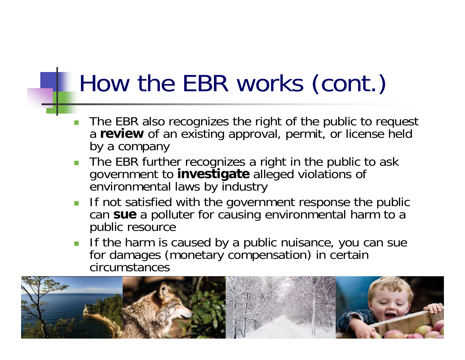### How the EBR works (cont.)

- $\overline{\phantom{a}}$ **The EBR also recognizes the right of the public to request** a **review** of an existing approval, permit, or license held by a company
- **The EBR further recognizes a right in the public to ask** government to **investigate** alleged violations of environmental laws by industry
- **If not satisfied with the government response the public** can **sue** a polluter for causing environmental harm to a public resource
- If the harm is caused by a public nuisance, you can sue for damages (monetary compensation) in certain circumstances

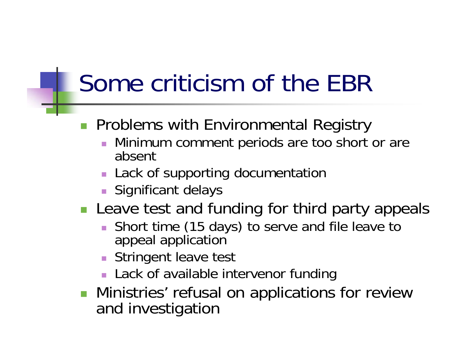### Some criticism of the EBR

- **Problems with Environmental Registry** 
	- $\mathcal{L}_{\mathcal{A}}$  Minimum comment periods are too short or are absent
	- **Lack of supporting documentation**
	- **Significant delays**
- **Leave test and funding for third party appeals** 
	- **Short time (15 days) to serve and file leave to** appeal application
	- **Stringent leave test**
	- **Lack of available intervenor funding**
- **Ninistries' refusal on applications for review** and investigation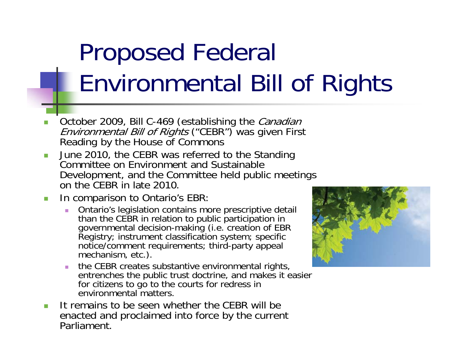# Proposed Federal Environmental Bill of Rights

- П October 2009, Bill C-469 (establishing the Canadian Environmental Bill of Rights ("CEBR") was given First Reading by the House of Commons
- $\blacksquare$  June 2010, the CEBR was referred to the Standing Committee on Environment and Sustainable Development, and the Committee held public meetings on the CEBR in late 2010.
- $\blacksquare$  In comparison to Ontario's EBR:
	- $\mathbb{R}^2$ Ontario's legislation contains more prescriptive detail than the CEBR in relation to public participation in than the CEBR in relation to public participation<br>governmental decision-making (i.e. creation of EBR<br>Registry; instrument classification system; specific notice/comment requirements; third-party appeal mechanism, etc.).
	- the CEBR creates substantive environmental rights, entrenches the public trust doctrine, and makes it easier for citizens to go to the courts for redress in environmental matters.
- П It remains to be seen whether the CEBR will be enacted and proclaimed into force by the current Parliament.

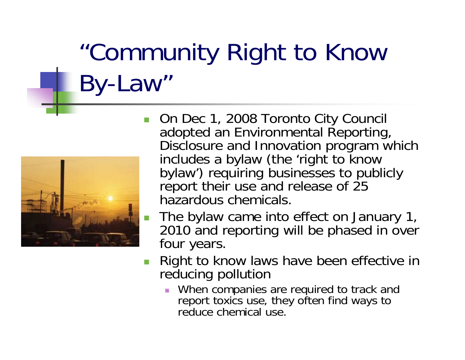# "Community Right to Know By-Law"



- П On Dec 1, 2008 Toronto City Council adopted an Environmental Reporting, Disclosure and Innovation program which<br>includes a bylaw (the 'right to know<br>bylaw') requiring businesses to publicly report their use and release of 25 hazardous chemicals.
	- The bylaw came into effect on January 1, 2010 and reporting will be phased in over four years.
- $\overline{\phantom{a}}$  Right to know laws have been effective in reducing pollution
	- When companies are required to track and report toxics use, they often find ways to reduce chemical use.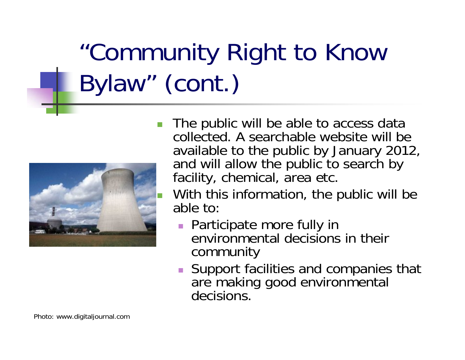# "Community Right to Know Bylaw" (cont.)



- The public will be able to access data collected. A searchable website will be available to the public by January 2012, and will allow the public to search by facility, chemical, area etc.
	- With this information, the public will be able to:
		- **Participate more fully in** environmental decisions in their community
		- **Support facilities and companies that** are making good environmental decisions.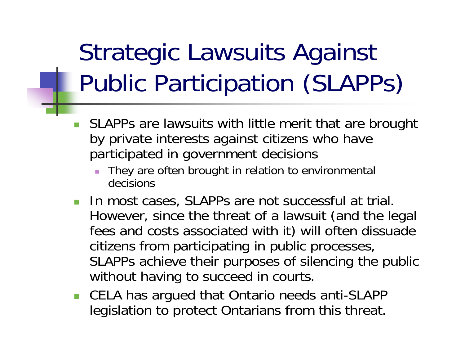## Strategic Lawsuits Against Public Participation (SLAPPs)

- $\overline{\phantom{a}}$  SLAPPs are lawsuits with little merit that are brought by private interests against citizens who have participated in government decisions
	- П They are often brought in relation to environmental decisions
- **IF In most cases, SLAPPs are not successful at trial.** However, since the threat of a lawsuit (and the legal fees and costs associated with it) will often dissuade citizens from participating in public processes, SLAPPs achieve their purposes of silencing the public without having to succeed in courts.
- CELA has argued that Ontario needs anti-SLAPP legislation to protect Ontarians from this threat.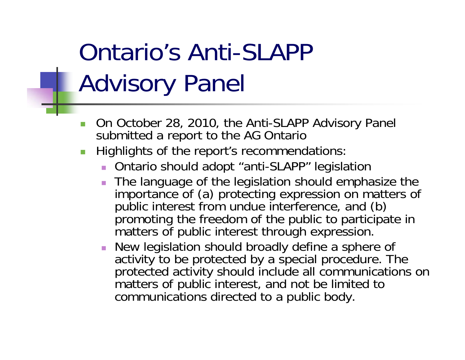### Ontario's Anti-SLAPP Advisory Panel

- $\mathbb{R}^n$  On October 28, 2010, the Anti-SLAPP Advisory Panel submitted a report to the AG Ontario
- $\mathcal{L}_{\mathcal{A}}$  Highlights of the report's recommendations:
	- Ontario should adopt "anti-SLAPP" legislation
	- The language of the legislation should emphasize the importance of (a) protecting expression on matters of public interest from undue interference, and (b) promoting the freedom of the public to participate in matters of public interest through expression.
	- New legislation should broadly define a sphere of activity to be protected by a special procedure. The protected activity should include all communications on matters of public interest, and not be limited to communications directed to a public body.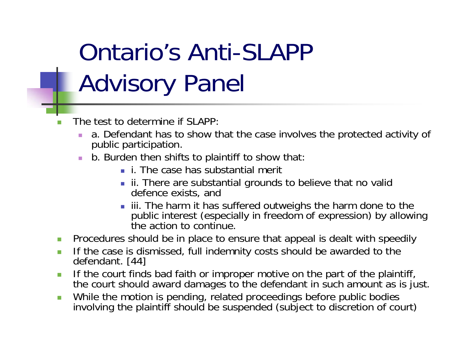## Ontario's Anti-SLAPP Advisory Panel

- П The test to determine if SLAPP:
	- a. Defendant has to show that the case involves the protected activity of public participation.
	- $\mathcal{L}_{\mathcal{A}}$  b. Burden then shifts to plaintiff to show that:
		- **i.** The case has substantial merit
		- **ii.** There are substantial grounds to believe that no valid defence exists, and
		- iii. The harm it has suffered outweighs the harm done to the public interest (especially in freedom of expression) by allowing the action to continue.
- $\mathcal{L}_{\mathcal{A}}$ Procedures should be in place to ensure that appeal is dealt with speedily
- $\Box$ If the case is dismissed, full indemnity costs should be awarded to the defendant. [44]
- $\overline{\phantom{a}}$  If the court finds bad faith or improper motive on the part of the plaintiff, the court should award damages to the defendant in such amount as is just.
- $\overline{\phantom{a}}$ While the motion is pending, related proceedings before public bodies involving the plaintiff should be suspended (subject to discretion of court)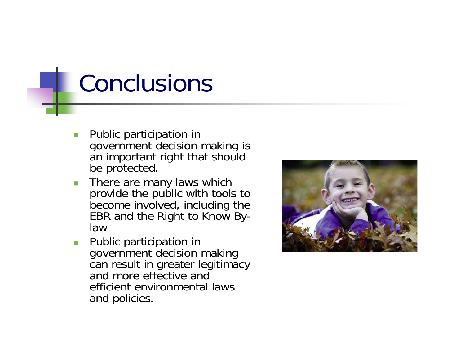### Conclusions

- $\blacksquare$  Public participation in government decision making is an important right that should be protected.
- **There are many laws which** provide the public with tools to become involved, including the EBR and the Right to Know Bylaw
- **Public participation in** government decision making can result in greater legitimacy and more effective and efficient environmental laws and policies.